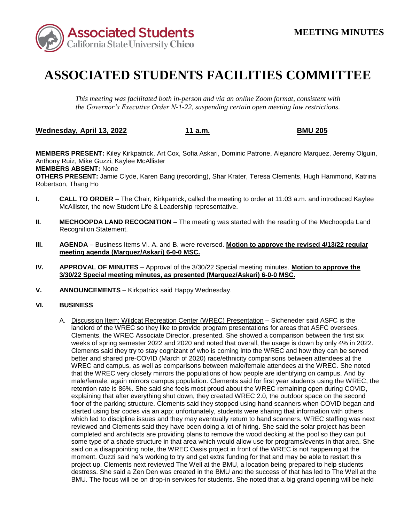

## **ASSOCIATED STUDENTS FACILITIES COMMITTEE**

*This meeting was facilitated both in-person and via an online Zoom format, consistent with the Governor's Executive Order N-1-22, suspending certain open meeting law restrictions.* 

**Wednesday, April 13, 2022 11 a.m. BMU 205** 

**MEMBERS PRESENT:** Kiley Kirkpatrick, Art Cox, Sofia Askari, Dominic Patrone, Alejandro Marquez, Jeremy Olguin, Anthony Ruiz, Mike Guzzi, Kaylee McAllister

**MEMBERS ABSENT:** None

**OTHERS PRESENT:** Jamie Clyde, Karen Bang (recording), Shar Krater, Teresa Clements, Hugh Hammond, Katrina Robertson, Thang Ho

- **I. CALL TO ORDER**  The Chair, Kirkpatrick, called the meeting to order at 11:03 a.m. and introduced Kaylee McAllister, the new Student Life & Leadership representative.
- **II. MECHOOPDA LAND RECOGNITION** The meeting was started with the reading of the Mechoopda Land Recognition Statement.
- **III. AGENDA**  Business Items VI. A. and B. were reversed. **Motion to approve the revised 4/13/22 regular meeting agenda (Marquez/Askari) 6-0-0 MSC.**
- **IV. APPROVAL OF MINUTES**  Approval of the 3/30/22 Special meeting minutes. **Motion to approve the 3/30/22 Special meeting minutes, as presented (Marquez/Askari) 6-0-0 MSC.**
- **V. ANNOUNCEMENTS**  Kirkpatrick said Happy Wednesday.

## **VI. BUSINESS**

 Clements said they try to stay cognizant of who is coming into the WREC and how they can be served better and shared pre-COVID (March of 2020) race/ethnicity comparisons between attendees at the WREC and campus, as well as comparisons between male/female attendees at the WREC. She noted retention rate is 86%. She said she feels most proud about the WREC remaining open during COVID, said on a disappointing note, the WREC Oasis project in front of the WREC is not happening at the destress. She said a Zen Den was created in the BMU and the success of that has led to The Well at the BMU. The focus will be on drop-in services for students. She noted that a big grand opening will be held A. Discussion Item: Wildcat Recreation Center (WREC) Presentation – Sicheneder said ASFC is the landlord of the WREC so they like to provide program presentations for areas that ASFC oversees. Clements, the WREC Associate Director, presented. She showed a comparison between the first six weeks of spring semester 2022 and 2020 and noted that overall, the usage is down by only 4% in 2022. that the WREC very closely mirrors the populations of how people are identifying on campus. And by male/female, again mirrors campus population. Clements said for first year students using the WREC, the explaining that after everything shut down, they created WREC 2.0, the outdoor space on the second floor of the parking structure. Clements said they stopped using hand scanners when COVID began and started using bar codes via an app; unfortunately, students were sharing that information with others which led to discipline issues and they may eventually return to hand scanners. WREC staffing was next reviewed and Clements said they have been doing a lot of hiring. She said the solar project has been completed and architects are providing plans to remove the wood decking at the pool so they can put some type of a shade structure in that area which would allow use for programs/events in that area. She moment. Guzzi said he's working to try and get extra funding for that and may be able to restart this project up. Clements next reviewed The Well at the BMU, a location being prepared to help students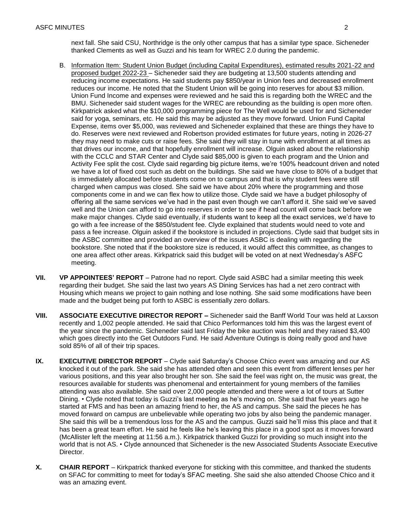thanked Clements as well as Guzzi and his team for WREC 2.0 during the pandemic. next fall. She said CSU, Northridge is the only other campus that has a similar type space. Sicheneder

- reducing income expectations. He said students pay \$850/year in Union fees and decreased enrollment Kirkpatrick asked what the \$10,000 programming piece for The Well would be used for and Sicheneder said for yoga, seminars, etc. He said this may be adjusted as they move forward. Union Fund Capital is immediately allocated before students come on to campus and that is why student fees were still components come in and we can flex how to utilize those. Clyde said we have a budget philosophy of go with a fee increase of the \$850/student fee. Clyde explained that students would need to vote and the ASBC committee and provided an overview of the issues ASBC is dealing with regarding the one area affect other areas. Kirkpatrick said this budget will be voted on at next Wednesday's ASFC B. Information Item: Student Union Budget (including Capital Expenditures), estimated results 2021-22 and proposed budget 2022-23 – Sicheneder said they are budgeting at 13,500 students attending and reduces our income. He noted that the Student Union will be going into reserves for about \$3 million. Union Fund Income and expenses were reviewed and he said this is regarding both the WREC and the BMU. Sicheneder said student wages for the WREC are rebounding as the building is open more often. Expense, items over \$5,000, was reviewed and Sicheneder explained that these are things they have to do. Reserves were next reviewed and Robertson provided estimates for future years, noting in 2026-27 they may need to make cuts or raise fees. She said they will stay in tune with enrollment at all times as that drives our income, and that hopefully enrollment will increase. Olguin asked about the relationship with the CCLC and STAR Center and Clyde said \$85,000 is given to each program and the Union and Activity Fee split the cost. Clyde said regarding big picture items, we're 100% headcount driven and noted we have a lot of fixed cost such as debt on the buildings. She said we have close to 80% of a budget that charged when campus was closed. She said we have about 20% where the programming and those offering all the same services we've had in the past even though we can't afford it. She said we've saved well and the Union can afford to go into reserves in order to see if head count will come back before we make major changes. Clyde said eventually, if students want to keep all the exact services, we'd have to pass a fee increase. Olguin asked if the bookstore is included in projections. Clyde said that budget sits in bookstore. She noted that if the bookstore size is reduced, it would affect this committee, as changes to meeting.
- regarding their budget. She said the last two years AS Dining Services has had a net zero contract with made and the budget being put forth to ASBC is essentially zero dollars. **VII. VP APPOINTEES' REPORT** – Patrone had no report. Clyde said ASBC had a similar meeting this week Housing which means we project to gain nothing and lose nothing. She said some modifications have been
- **ASSOCIATE EXECUTIVE DIRECTOR REPORT –** Sicheneder said the Banff World Tour was held at Laxson **VIII.**  recently and 1,002 people attended. He said that Chico Performances told him this was the largest event of the year since the pandemic. Sicheneder said last Friday the bike auction was held and they raised \$3,400 which goes directly into the Get Outdoors Fund. He said Adventure Outings is doing really good and have sold 85% of all of their trip spaces.
- **EXECUTIVE DIRECTOR REPORT**  Clyde said Saturday's Choose Chico event was amazing and our AS various positions, and this year also brought her son. She said the feel was right on, the music was great, the started at FMS and has been an amazing friend to her, the AS and campus. She said the pieces he has She said this will be a tremendous loss for the AS and the campus. Guzzi said he'll miss this place and that it (McAllister left the meeting at 11:56 a.m.). Kirkpatrick thanked Guzzi for providing so much insight into the **IX.**  knocked it out of the park. She said she has attended often and seen this event from different lenses per her resources available for students was phenomenal and entertainment for young members of the families attending was also available. She said over 2,000 people attended and there were a lot of tours at Sutter Dining. • Clyde noted that today is Guzzi's last meeting as he's moving on. She said that five years ago he moved forward on campus are unbelievable while operating two jobs by also being the pandemic manager. has been a great team effort. He said he feels like he's leaving this place in a good spot as it moves forward world that is not AS. • Clyde announced that Sicheneder is the new Associated Students Associate Executive Director.
- was an amazing event. **X. CHAIR REPORT** – Kirkpatrick thanked everyone for sticking with this committee, and thanked the students on SFAC for committing to meet for today's SFAC meeting. She said she also attended Choose Chico and it